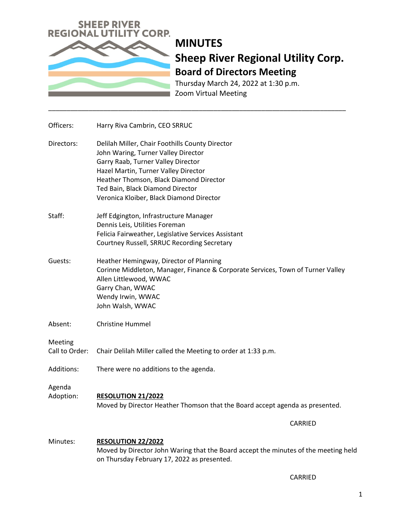

## **MINUTES Sheep River Regional Utility Corp. Board of Directors Meeting**

Thursday March 24, 2022 at 1:30 p.m. Zoom Virtual Meeting

| Officers:                 | Harry Riva Cambrin, CEO SRRUC                                                                                                                                                                                                                                                                   |
|---------------------------|-------------------------------------------------------------------------------------------------------------------------------------------------------------------------------------------------------------------------------------------------------------------------------------------------|
| Directors:                | Delilah Miller, Chair Foothills County Director<br>John Waring, Turner Valley Director<br>Garry Raab, Turner Valley Director<br>Hazel Martin, Turner Valley Director<br>Heather Thomson, Black Diamond Director<br>Ted Bain, Black Diamond Director<br>Veronica Kloiber, Black Diamond Director |
| Staff:                    | Jeff Edgington, Infrastructure Manager<br>Dennis Leis, Utilities Foreman<br>Felicia Fairweather, Legislative Services Assistant<br>Courtney Russell, SRRUC Recording Secretary                                                                                                                  |
| Guests:                   | Heather Hemingway, Director of Planning<br>Corinne Middleton, Manager, Finance & Corporate Services, Town of Turner Valley<br>Allen Littlewood, WWAC<br>Garry Chan, WWAC<br>Wendy Irwin, WWAC<br>John Walsh, WWAC                                                                               |
| Absent:                   | <b>Christine Hummel</b>                                                                                                                                                                                                                                                                         |
| Meeting<br>Call to Order: | Chair Delilah Miller called the Meeting to order at 1:33 p.m.                                                                                                                                                                                                                                   |
| Additions:                | There were no additions to the agenda.                                                                                                                                                                                                                                                          |
| Agenda<br>Adoption:       | RESOLUTION 21/2022<br>Moved by Director Heather Thomson that the Board accept agenda as presented.                                                                                                                                                                                              |
|                           | <b>CARRIED</b>                                                                                                                                                                                                                                                                                  |
| Minutes:                  | <b>RESOLUTION 22/2022</b><br>Moved by Director John Waring that the Board accept the minutes of the meeting held<br>on Thursday February 17, 2022 as presented.                                                                                                                                 |

\_\_\_\_\_\_\_\_\_\_\_\_\_\_\_\_\_\_\_\_\_\_\_\_\_\_\_\_\_\_\_\_\_\_\_\_\_\_\_\_\_\_\_\_\_\_\_\_\_\_\_\_\_\_\_\_\_\_\_\_\_\_\_\_\_\_\_\_\_\_\_\_\_\_\_\_\_\_\_\_\_

CARRIED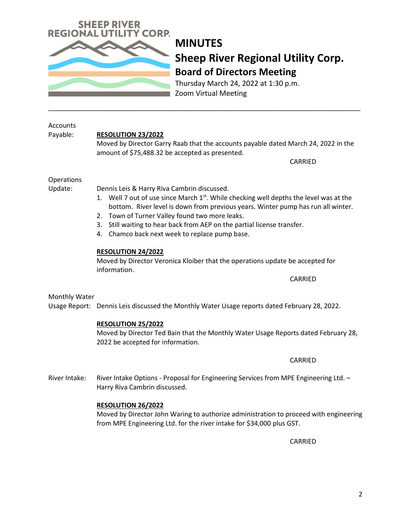### **MINUTES Sheep River Regional Utility Corp. Board of Directors Meeting**

Thursday March 24, 2022 at 1:30 p.m. Zoom Virtual Meeting

#### Accounts Payable: **RESOLUTION 23/2022**

Moved by Director Garry Raab that the accounts payable dated March 24, 2022 in the amount of \$75,488.32 be accepted as presented.

CARRIED

Operations

Update: Dennis Leis & Harry Riva Cambrin discussed.

- 1. Well 7 out of use since March  $1^{st}$ . While checking well depths the level was at the bottom. River level is down from previous years. Winter pump has run all winter.
- 2. Town of Turner Valley found two more leaks.
- 3. Still waiting to hear back from AEP on the partial license transfer.
- 4. Chamco back next week to replace pump base.

#### **RESOLUTION 24/2022**

Moved by Director Veronica Kloiber that the operations update be accepted for information.

CARRIED

CARRIED

#### Monthly Water

Usage Report: Dennis Leis discussed the Monthly Water Usage reports dated February 28, 2022.

#### **RESOLUTION 25/2022**

Moved by Director Ted Bain that the Monthly Water Usage Reports dated February 28, 2022 be accepted for information.

River Intake: River Intake Options - Proposal for Engineering Services from MPE Engineering Ltd. -Harry Riva Cambrin discussed.

#### **RESOLUTION 26/2022**

Moved by Director John Waring to authorize administration to proceed with engineering from MPE Engineering Ltd. for the river intake for \$34,000 plus GST.

CARRIED

\_\_\_\_\_\_\_\_\_\_\_\_\_\_\_\_\_\_\_\_\_\_\_\_\_\_\_\_\_\_\_\_\_\_\_\_\_\_\_\_\_\_\_\_\_\_\_\_\_\_\_\_\_\_\_\_\_\_\_\_\_\_\_\_\_\_\_\_\_\_\_\_\_\_\_\_\_\_\_\_\_\_\_\_\_

# **EEP RIVER REGIONAL UTILIT** CORP.